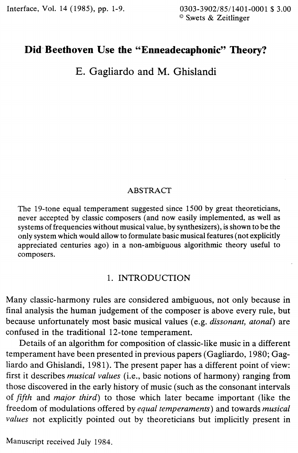Interface, Vol. 14 (1985), pp. 1-9. 0303-3902/85/1401-0001 \$ 3.00

© S.wets & Zeitlinger

# **Did·Beethoven Use the "Enneadecaphonic" Theory?**

E. Gagliardo and M. Ghislandi

#### ABSTRACT

The 19-tone equal temperament suggested since 1500 by great theoreticians, never accepted by classic composers (and now easily implemented, as well as systems of frequencies without musical value, by synthesizers), is shown to be the only system which would allow to formulate basic musical features (not explicitly appreciated centuries ago) in a non-ambiguous algorithmic theory useful to composers.

## 1. INTRODUCTION

Many classic-harmony rules are considered ambiguous, not only because in final analysis the human judgement of the composer is above every rule, but because unfortunately most basic musical values (e.g. *dissonant, atonal)* are confused in the traditional 12-tone temperament.

Details of an algorithm for composition of classic-like music in a different temperament have been presented in previous papers (Gagliardo, 1980; Gagliardo and Ghislandi, 1981). The present paper has a different point of view: first it describes *musical values* (i.e., basic notions of harmony) ranging from those discovered in the early history of music (such as the consonant intervals of *fifth* and *major third)* to those which later became important (like the freedom of modulations offered by *equal temperaments)* and towards *musical values* not explicitly pointed out by theoreticians but implicitly present in

Manuscript received July 1984.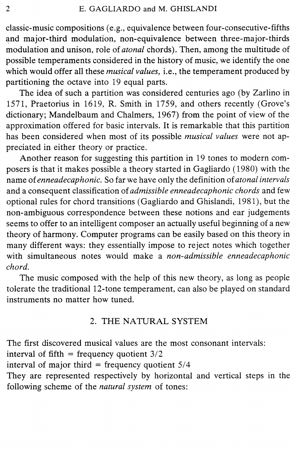classic-music compositions (e.g., equivalence between four-consecutive-fifths and major-third modulation, non-equivalence between three-major-thirds modulation and unison, role of *atonal* chords). Then, among the multitude of possible temperaments considered in the history of music, we identify the one which would offer all these *musical values,* i.e., the temperament produced by partitioning the octave into 19 equal parts.

The idea of such a partition was considered centuries ago (by Zarlino in 1571, Praetorius in 1619, R. Smith in 1759, and others recently (Grove's dictionary; Mandelbaum and Chalmers, 1967) from the point of view of the approximation offered for basic intervals. It is remarkable that this partition has been considered when most of its possible *musical values* were not appreciated in either theory or practice.

Another reason for suggesting this partition in 19 tones to modern composers is that it makes possible a theory started in Gagliardo ( 1980) with the name of *enneadecaphonic.* So far we have only the definition of *atonal intervals*  and a consequent classification of *admissible enneadecaphonic chords* and few optional rules for chord transitions (Gagliardo and Ghislandi, 1981), but the non-ambiguous correspondence between these notions and ear judgements seems to offer to an intelligent composer an actually useful beginning of a new theory of harmony. Computer programs can be easily based on this theory in many different ways: they essentially impose to reject notes which together with simultaneous notes would make a *non-admissible enneadecaphonic chord.* 

The music composed with the help of this new theory, as long as people tolerate the traditional 12-tone temperament, can also be played on standard instruments no matter how tuned.

## 2. THE NATURAL SYSTEM

The first discovered musical values are the most consonant intervals:

interval of fifth = frequency quotient  $3/2$ 

interval of major third = frequency quotient  $5/4$ 

They are represented respectively by horizontal and vertical steps in the following scheme of the *natural system* of tones: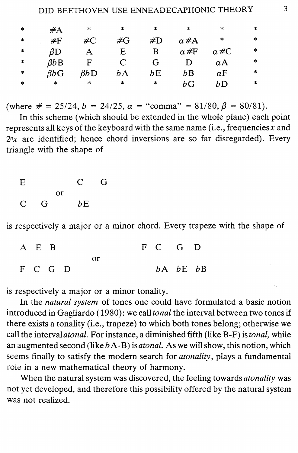| $\ast$  | #A            | $\ast$                 | ∗         | ∗      | $\ast$        | ∗           | ∗      |
|---------|---------------|------------------------|-----------|--------|---------------|-------------|--------|
| $\ast$  | #F            | $\#C$                  | #G        | #D     | $\alpha \# A$ | $\ast$      | *      |
| $\star$ | $\beta\rm{D}$ |                        | E         | в      | $\alpha$ #F   | $\alpha\#C$ | $\ast$ |
| $\ast$  | $\beta bB$    | F                      | $\subset$ | G      |               | $\alpha$ A  | ∗      |
| $\ast$  | BbG           | $\beta b\, \mathrm{D}$ | bΑ        | bΕ     | bB            | αF          | *      |
| $\ast$  | $\ast$        | $\ast$                 | *         | $\ast$ | bG            | bD          | ∗      |

(where  $\# = 25/24$ ,  $b = 24/25$ ,  $\alpha =$  "comma" = 81/80,  $\beta = 80/81$ ).

In this scheme (which should be extended in the whole plane) each point represents all keys of the keyboard with the same name (i.e., frequencies x and  $2<sup>n</sup>x$  are identified; hence chord inversions are so far disregarded). Every triangle with the shape of

| E              |   |    | C. | G |
|----------------|---|----|----|---|
|                |   | or |    |   |
| $\mathsf{C}^-$ | G |    | bE |   |

is respectively a major or a minor chord. Every trapeze with the shape of

| A E B   |  |    |  | F C G D |                |  |
|---------|--|----|--|---------|----------------|--|
|         |  | Ωr |  |         |                |  |
| F C G D |  |    |  |         | $bA$ $bE$ $bB$ |  |

is respectively a major or a minor tonality.

In the *natural system* of tones one could have formulated a basic notion introduced in Gagliardo ( 1980): we call *tonal* the interval between two tones if there exists a tonality (i.e., trapeze) to which both tones belong; otherwise we call the interval *atonal*. For instance, a diminished fifth (like B-F) is *tonal*, while an augmented second (like *b* A-B) is *atonal.* As we will show, this notion, which seems finally to satisfy the modern search for *atonality,* plays a fundamental role in a new mathematical theory of harmony.

When the natural system was discovered, the feeling towards *atonality* was not yet developed, and therefore this possibility offered by the natural system was not realized.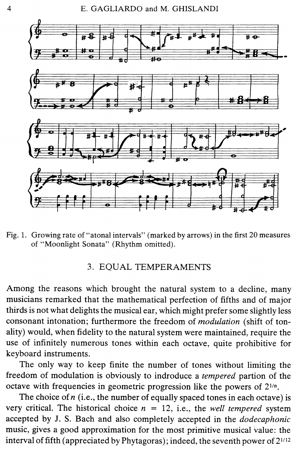

Fig. 1. Growing rate of "atonal intervals" (marked by arrows) in the first 20 measures of "Moonlight Sonata" (Rhythm omitted).

### 3. EQUAL TEMPERAMENTS

Among the reasons which brought the natural system to a decline, many musicians remarked that the mathematical perfection of fifths and of major thirds is not what delights the musical ear, which might prefer some slightly less consonant intonation; furthermore the freedom of *modulation* (shift of tonality) would, when fidelity to the natural system were maintained, require the use of infinitely numerous tones within each octave, quite prohibitive for keyboard instruments.

The only way to keep finite the number of tones without limiting the freedom of modulation is obviously to indroduce a *tempered* partion of the octave with frequencies in geometric progression like the powers of  $2^{1/n}$ .

The choice of *n* (i.e., the number of equally spaced tones in each octave) is very critical. The historical choice  $n = 12$ , i.e., the *well tempered* system accepted by J. S. Bach and also completely accepted in the *dodecaphonic*  music, gives a good approximation for the most primitive musical value: the interval of fifth (appreciated by Phytagoras); indeed, the seventh power of  $2^{1/12}$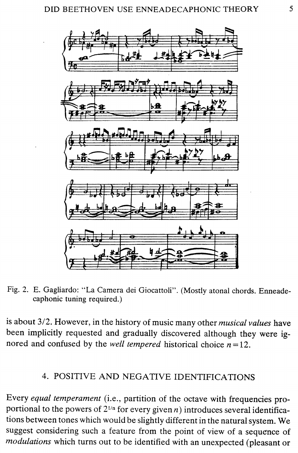![](_page_4_Figure_1.jpeg)

Fig. 2. E. Gagliardo: "La Camera dei Giocattoli". (Mostly atonal chords. Enneadecaphonic tuning required.)

is about 3/2. However, in the history of music many other *musical values* have been implicitly requested and gradually discovered although they were ignored and confused by the *well tempered* historical choice  $n = 12$ .

# 4. POSITIVE AND NEGATIVE IDENTIFICATIONS

Every *equal temperament* (i.e., partition of the octave with frequencies proportional to the powers of  $2^{1/n}$  for every given n) introduces several identifications between tones which would be slightly different in the natural system. We suggest considering such a feature from the point of view of a sequence of *modulations* which turns out to be identified with an unexpected (pleasant or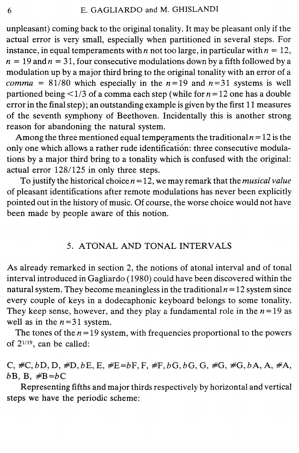unpleasant) coming back to the original tonality. It may be pleasant only if the actual error is very small, especially when partitioned in several steps. For instance, in equal temperaments with *n* not too large, in particular with  $n = 12$ ,  $n = 19$  and  $n = 31$ , four consecutive modulations down by a fifth followed by a modulation up by a major third bring to the original tonality with an error of a *comma* = 81/80 which especially in the  $n=19$  and  $n=31$  systems is well partioned being  $\leq 1/3$  of a comma each step (while for  $n = 12$  one has a double error in the final step); an outstanding example is given by the first 11 measures of the seventh symphony of Beethoven. Incidentally this is another strong reason for abandoning the natural system.

Among the three mentioned equal temperaments the traditional  $n = 12$  is the only one which allows a rather rude identification: three consecutive modulations by a major third bring to a tonality which is confused with the original: actual error 128/125 in only three steps.

To justify the historical choice *n* = 12, we may remark that the *musical value*  of pleasant identifications after remote modulations has never been explicitly pointed out in the history of music. Of course, the worse choice would not have been made by people aware of this notion.

## 5. ATONAL AND TONAL INTERVALS

As already remarked in section 2, the notions of atonal interval and of tonal interval introduced in Gagliardo ( 1980) could have been discovered within the natural system. They become meaningless in the traditional  $n = 12$  system since every couple of keys in a dodecaphonic keyboard belongs to some tonality. They keep sense, however, and they play a fundamental role in the  $n=19$  as well as in the  $n = 31$  system.

The tones of the  $n = 19$  system, with frequencies proportional to the powers of 21119, can be called:

C,  $\#C$ ,  $bD$ , D,  $\#D$ ,  $bE$ , E,  $\#E = bF$ , F,  $\#F$ ,  $bG$ ,  $bG$ , G,  $\#G$ ,  $\#G$ ,  $bA$ , A,  $\#A$ ,  $bB$ ,  $B$ ,  $\#B=bC$ 

Representing fifths and major thirds respectively by horizontal and vertical steps we have the periodic scheme: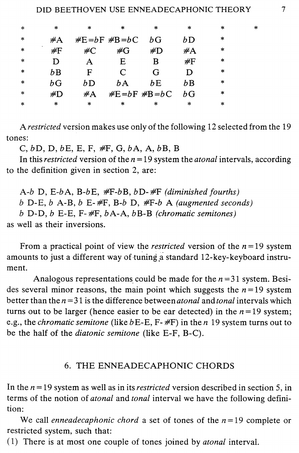| $*$    | $\ast$ | $\ast$ | ∗                 | $*$               | $\ast$    | *         | ∗ |
|--------|--------|--------|-------------------|-------------------|-----------|-----------|---|
| $\ast$ | $\#A$  |        | $E = bF$ $E = bC$ | hG                | bD        | *         |   |
| $\ast$ | #F     | $\#C$  | $\#G$             | #D                | #A        | $\ast$    |   |
| $\ast$ | D      | A      | E                 | В                 | #F        | $^{\ast}$ |   |
| $\ast$ | bΒ     | F      | $\subset$         | G                 |           | $\ast$    |   |
| $*$    | bG     | bΒ     | bΑ                | bE                | bΒ        | $\ast$    |   |
| $\ast$ | #D     | $\#A$  |                   | $E = bF$ $E = bC$ | hG        | ∗         |   |
| $\ast$ | $\ast$ | $\ast$ | $\ast$            | $\ast$            | $^{\ast}$ | *         |   |
|        |        |        |                   |                   |           |           |   |

A *restricted* version makes use only of the following 12 selected from the 19 tones:

*C,bD,D,bE,E,F, #F,G,bA,A,bB,B* 

In this *restricted* version of the  $n = 19$  system the *atonal* intervals, according to the definition given in section 2, are:

*A-b* D, *E-bA, B-bE, #F-bB, bD- #F (diminished fourths) b* D-E, *b* A-B, *b* E- *#F, B-b* D, *#F-b* A *(augmented seconds) b* D-D, *b* E-E, F- *#F, bA-A, bB-B (chromatic semitones)*  as well as their inversions.

From a practical point of view the *restricted* version of the  $n = 19$  system amounts to just a different way of tuning a standard 12-key-keyboard instrument.

Analogous representations could be made for the  $n = 31$  system. Besides several minor reasons, the main point which suggests the  $n = 19$  system better than the  $n = 31$  is the difference between *atonal* and *tonal* intervals which turns out to be larger (hence easier to be ear detected) in the  $n=19$  system; e.g., the *chromatic semitone* (like *bE-E,* F- #F) in then 19 system turns out to be the half of the *diatonic semitone* (like E-F, B-C).

#### 6. THE ENNEADECAPHONIC CHORDS

In the *n* = 19 system as well as in its *restricted* version described in section 5, in terms of the notion of *atonal* and *tonal* interval we have the following definition:

We call *enneadecaphonic chord* a set of tones of the  $n=19$  complete or restricted system, such that:

( 1) There is at most one couple of tones joined by *atonal* interval.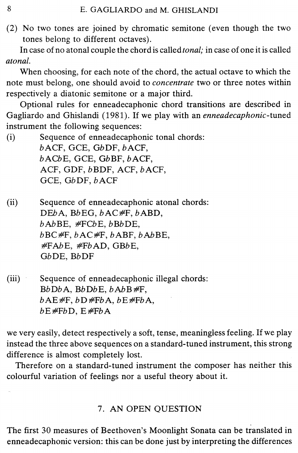(2) No two tones are joined by chromatic semitone (even though the two tones belong to different octaves).

In case of no atonal couple the chord is called *tonal;* in case of one it is called *atonal.* 

When choosing, for each note of the chord, the actual octave to which the note must belong, one should avoid to *concentrate* two or three notes within respectively a diatonic semitone or a major third.

Optional rules for enneadecaphonic chord transitions are described in Gagliardo and Ghislandi (1981). If we play with an *enneadecaphonic-tuned*  instrument the following sequences:

(i) Sequence of enneadecaphonic tonal chords: bACF, GCE, GbDF, bACF, bACbE, GCE, GbBF, bACF, ACF, GDF, bBDF, ACF, bACF, GCE, GbDF, bACF

(ii) Sequence of enneadecaphonic atonal chords: DEbA, BbEG, bAC#F, bABD, bAbBE, #FCbE, bBbDE, bBC#F, bAC#F, bABF, bAbBE, #FAbE, #FbAD, GBbE, GbDE, BbDF

(iii) Sequence of enneadecaphonic illegal chords: BbDbA, BbDbE, bAbB#F,  $bAE \#F$ ,  $bD \#FbA$ ,  $bE \#FbA$ , bE#FbD, E#FbA

we very easily, detect respectively a soft, tense, meaningless feeling. If we play instead the three above sequences on a standard-tuned instrument, this strong difference is almost completely lost.

Therefore on a standard-tuned instrument the composer has neither this colourful variation of feelings nor a useful theory about it.

# 7. AN OPEN QUESTION

The first 30 measures of Beethoven's Moonlight Sonata can be translated in enneadecaphonic version: this can be done just by interpreting the differences